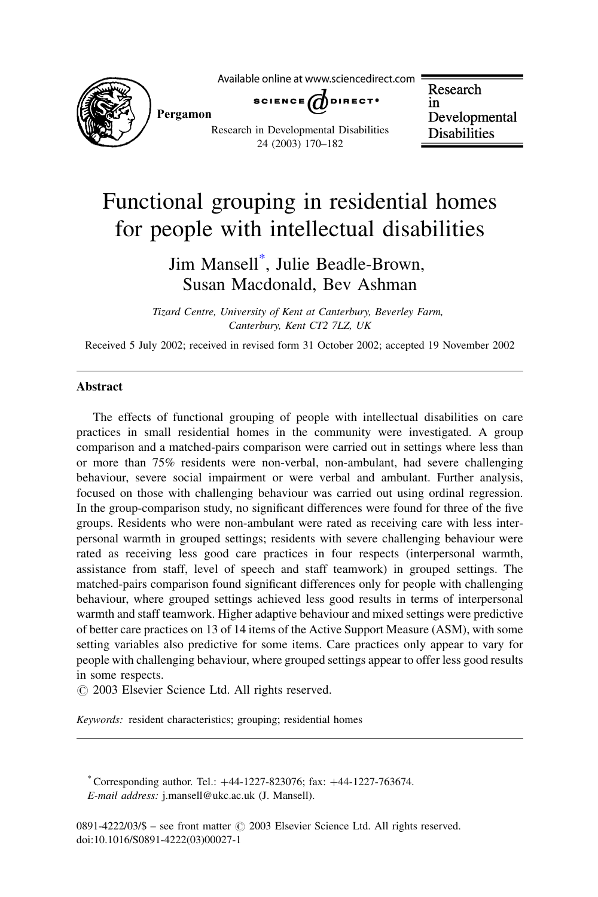

Available online at www.sciencedirect.com

SCIENCE  $\bigcap$  DIRECT<sup>.</sup>

Research in Developmental **Disabilities** 

## Functional grouping in residential homes for people with intellectual disabilities

Research in Developmental Disabilities 24 (2003) 170–182

### Jim Mansell\* , Julie Beadle-Brown, Susan Macdonald, Bev Ashman

Tizard Centre, University of Kent at Canterbury, Beverley Farm, Canterbury, Kent CT2 7LZ, UK

Received 5 July 2002; received in revised form 31 October 2002; accepted 19 November 2002

#### Abstract

The effects of functional grouping of people with intellectual disabilities on care practices in small residential homes in the community were investigated. A group comparison and a matched-pairs comparison were carried out in settings where less than or more than 75% residents were non-verbal, non-ambulant, had severe challenging behaviour, severe social impairment or were verbal and ambulant. Further analysis, focused on those with challenging behaviour was carried out using ordinal regression. In the group-comparison study, no significant differences were found for three of the five groups. Residents who were non-ambulant were rated as receiving care with less interpersonal warmth in grouped settings; residents with severe challenging behaviour were rated as receiving less good care practices in four respects (interpersonal warmth, assistance from staff, level of speech and staff teamwork) in grouped settings. The matched-pairs comparison found significant differences only for people with challenging behaviour, where grouped settings achieved less good results in terms of interpersonal warmth and staff teamwork. Higher adaptive behaviour and mixed settings were predictive of better care practices on 13 of 14 items of the Active Support Measure (ASM), with some setting variables also predictive for some items. Care practices only appear to vary for people with challenging behaviour, where grouped settings appear to offer less good results in some respects.

 $\odot$  2003 Elsevier Science Ltd. All rights reserved.

Keywords: resident characteristics; grouping; residential homes

\* Corresponding author. Tel.:  $+44-1227-823076$ ; fax:  $+44-1227-763674$ . E-mail address: j.mansell@ukc.ac.uk (J. Mansell).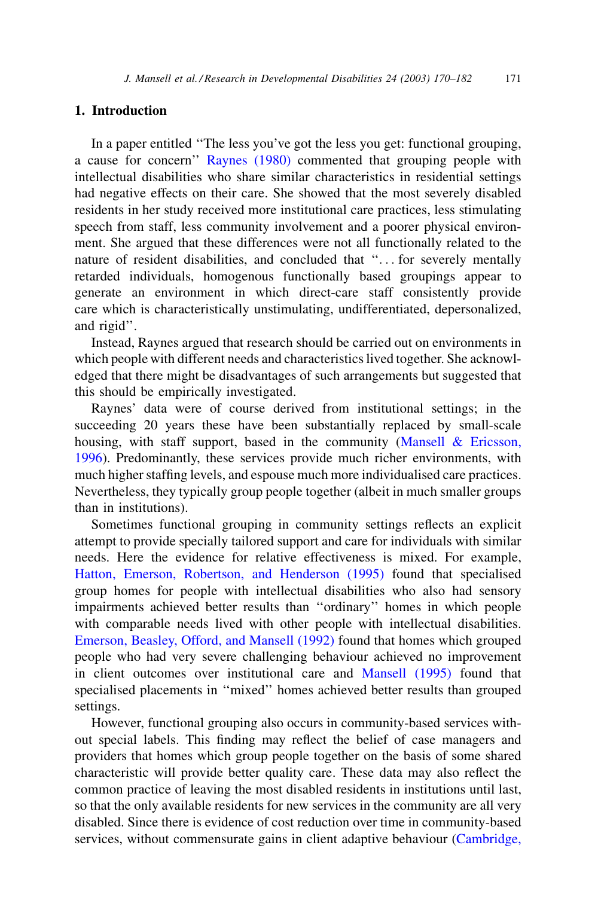### 1. Introduction

In a paper entitled ''The less you've got the less you get: functional grouping, a cause for concern'' [Raynes \(1980\)](#page--1-0) commented that grouping people with intellectual disabilities who share similar characteristics in residential settings had negative effects on their care. She showed that the most severely disabled residents in her study received more institutional care practices, less stimulating speech from staff, less community involvement and a poorer physical environment. She argued that these differences were not all functionally related to the nature of resident disabilities, and concluded that ''... for severely mentally retarded individuals, homogenous functionally based groupings appear to generate an environment in which direct-care staff consistently provide care which is characteristically unstimulating, undifferentiated, depersonalized, and rigid''.

Instead, Raynes argued that research should be carried out on environments in which people with different needs and characteristics lived together. She acknowledged that there might be disadvantages of such arrangements but suggested that this should be empirically investigated.

Raynes' data were of course derived from institutional settings; in the succeeding 20 years these have been substantially replaced by small-scale housing, with staff support, based in the community [\(Mansell & Ericsson,](#page--1-0) [1996\)](#page--1-0). Predominantly, these services provide much richer environments, with much higher staffing levels, and espouse much more individualised care practices. Nevertheless, they typically group people together (albeit in much smaller groups than in institutions).

Sometimes functional grouping in community settings reflects an explicit attempt to provide specially tailored support and care for individuals with similar needs. Here the evidence for relative effectiveness is mixed. For example, [Hatton, Emerson, Robertson, and Henderson \(1995\)](#page--1-0) found that specialised group homes for people with intellectual disabilities who also had sensory impairments achieved better results than ''ordinary'' homes in which people with comparable needs lived with other people with intellectual disabilities. [Emerson, Beasley, Offord, and Mansell \(1992\)](#page--1-0) found that homes which grouped people who had very severe challenging behaviour achieved no improvement in client outcomes over institutional care and [Mansell \(1995\)](#page--1-0) found that specialised placements in ''mixed'' homes achieved better results than grouped settings.

However, functional grouping also occurs in community-based services without special labels. This finding may reflect the belief of case managers and providers that homes which group people together on the basis of some shared characteristic will provide better quality care. These data may also reflect the common practice of leaving the most disabled residents in institutions until last, so that the only available residents for new services in the community are all very disabled. Since there is evidence of cost reduction over time in community-based services, without commensurate gains in client adaptive behaviour ([Cambridge,](#page--1-0)